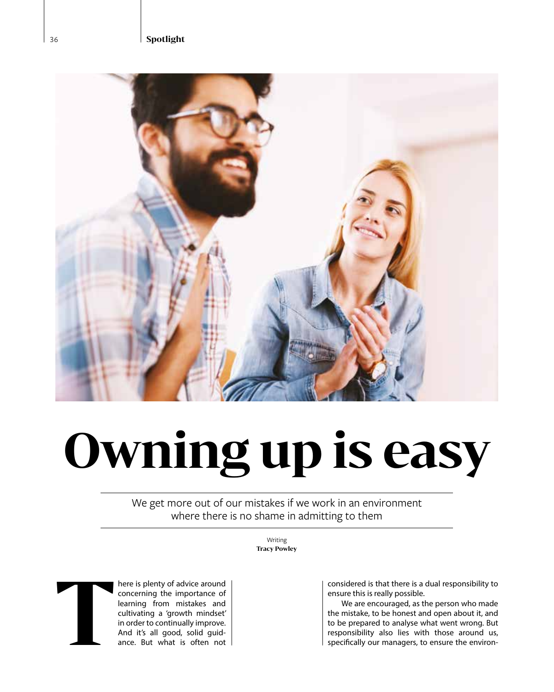36 **Spotlight**



## **Owning up is easy**

We get more out of our mistakes if we work in an environment where there is no shame in admitting to them

> Writing **Tracy Powley**



here is plenty of advice around concerning the importance of learning from mistakes and cultivating a 'growth mindset' in order to continually improve. And it's all good, solid guid-<br>ance. But what is often not **T**ance. But what is often not

considered is that there is a dual responsibility to ensure this is really possible.

We are encouraged, as the person who made the mistake, to be honest and open about it, and to be prepared to analyse what went wrong. But responsibility also lies with those around us, specifically our managers, to ensure the environ